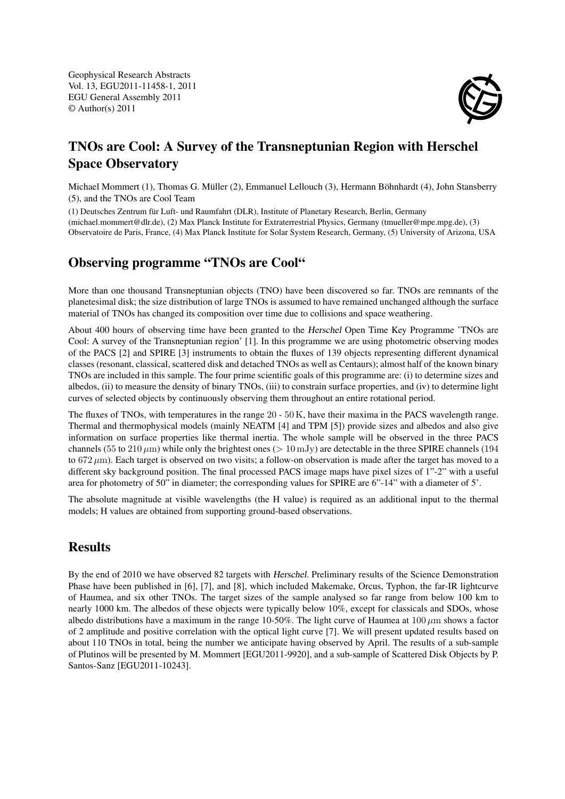Geophysical Research Abstracts Vol. 13, EGU2011-11458-1, 2011 EGU General Assembly 2011 © Author(s) 2011



# TNOs are Cool: A Survey of the Transneptunian Region with Herschel Space Observatory

Michael Mommert (1), Thomas G. Müller (2), Emmanuel Lellouch (3), Hermann Böhnhardt (4), John Stansberry (5), and the TNOs are Cool Team

(1) Deutsches Zentrum für Luft- und Raumfahrt (DLR), Institute of Planetary Research, Berlin, Germany (michael.mommert@dlr.de), (2) Max Planck Institute for Extraterrestrial Physics, Germany (tmueller@mpe.mpg.de), (3) Observatoire de Paris, France, (4) Max Planck Institute for Solar System Research, Germany, (5) University of Arizona, USA

#### Observing programme "TNOs are Cool"

More than one thousand Transneptunian objects (TNO) have been discovered so far. TNOs are remnants of the planetesimal disk; the size distribution of large TNOs is assumed to have remained unchanged although the surface material of TNOs has changed its composition over time due to collisions and space weathering.

About 400 hours of observing time have been granted to the Herschel Open Time Key Programme 'TNOs are Cool: A survey of the Transneptunian region' [1]. In this programme we are using photometric observing modes of the PACS [2] and SPIRE [3] instruments to obtain the fluxes of 139 objects representing different dynamical classes (resonant, classical, scattered disk and detached TNOs as well as Centaurs); almost half of the known binary TNOs are included in this sample. The four prime scientific goals of this programme are: (i) to determine sizes and albedos, (ii) to measure the density of binary TNOs, (iii) to constrain surface properties, and (iv) to determine light curves of selected objects by continuously observing them throughout an entire rotational period.

The fluxes of TNOs, with temperatures in the range 20 - 50 K, have their maxima in the PACS wavelength range. Thermal and thermophysical models (mainly NEATM [4] and TPM [5]) provide sizes and albedos and also give information on surface properties like thermal inertia. The whole sample will be observed in the three PACS channels (55 to 210  $\mu$ m) while only the brightest ones (> 10 mJy) are detectable in the three SPIRE channels (194 to  $672 \mu m$ ). Each target is observed on two visits; a follow-on observation is made after the target has moved to a different sky background position. The final processed PACS image maps have pixel sizes of 1"-2" with a useful area for photometry of 50" in diameter; the corresponding values for SPIRE are 6"-14" with a diameter of 5'.

The absolute magnitude at visible wavelengths (the H value) is required as an additional input to the thermal models; H values are obtained from supporting ground-based observations.

## **Results**

By the end of 2010 we have observed 82 targets with Herschel. Preliminary results of the Science Demonstration Phase have been published in [6], [7], and [8], which included Makemake, Orcus, Typhon, the far-IR lightcurve of Haumea, and six other TNOs. The target sizes of the sample analysed so far range from below 100 km to nearly 1000 km. The albedos of these objects were typically below 10%, except for classicals and SDOs, whose albedo distributions have a maximum in the range 10-50%. The light curve of Haumea at  $100 \mu m$  shows a factor of 2 amplitude and positive correlation with the optical light curve [7]. We will present updated results based on about 110 TNOs in total, being the number we anticipate having observed by April. The results of a sub-sample of Plutinos will be presented by M. Mommert [EGU2011-9920], and a sub-sample of Scattered Disk Objects by P. Santos-Sanz [EGU2011-10243].